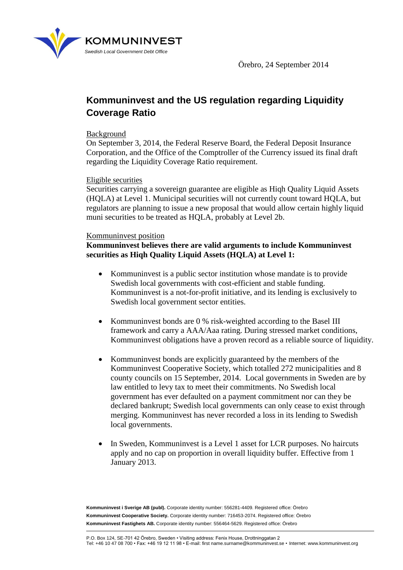

# **Kommuninvest and the US regulation regarding Liquidity Coverage Ratio**

## Background

On September 3, 2014, the Federal Reserve Board, the Federal Deposit Insurance Corporation, and the Office of the Comptroller of the Currency issued its final draft regarding the Liquidity Coverage Ratio requirement.

### Eligible securities

Securities carrying a sovereign guarantee are eligible as Hiqh Quality Liquid Assets (HQLA) at Level 1. Municipal securities will not currently count toward HQLA, but regulators are planning to issue a new proposal that would allow certain highly liquid muni securities to be treated as HQLA, probably at Level 2b.

## Kommuninvest position

**Kommuninvest believes there are valid arguments to include Kommuninvest securities as Hiqh Quality Liquid Assets (HQLA) at Level 1:**

- Kommuninvest is a public sector institution whose mandate is to provide Swedish local governments with cost-efficient and stable funding. Kommuninvest is a not-for-profit initiative, and its lending is exclusively to Swedish local government sector entities.
- Kommuninvest bonds are 0 % risk-weighted according to the Basel III framework and carry a AAA/Aaa rating. During stressed market conditions, Kommuninvest obligations have a proven record as a reliable source of liquidity.
- Kommuninvest bonds are explicitly guaranteed by the members of the Kommuninvest Cooperative Society, which totalled 272 municipalities and 8 county councils on 15 September, 2014. Local governments in Sweden are by law entitled to levy tax to meet their commitments. No Swedish local government has ever defaulted on a payment commitment nor can they be declared bankrupt; Swedish local governments can only cease to exist through merging. Kommuninvest has never recorded a loss in its lending to Swedish local governments.
- In Sweden, Kommuninvest is a Level 1 asset for LCR purposes. No haircuts apply and no cap on proportion in overall liquidity buffer. Effective from 1 January 2013.

**Kommuninvest i Sverige AB (publ).** Corporate identity number: 556281-4409. Registered office: Örebro **Kommuninvest Cooperative Society.** Corporate identity number: 716453-2074. Registered office: Örebro **Kommuninvest Fastighets AB.** Corporate identity number: 556464-5629. Registered office: Örebro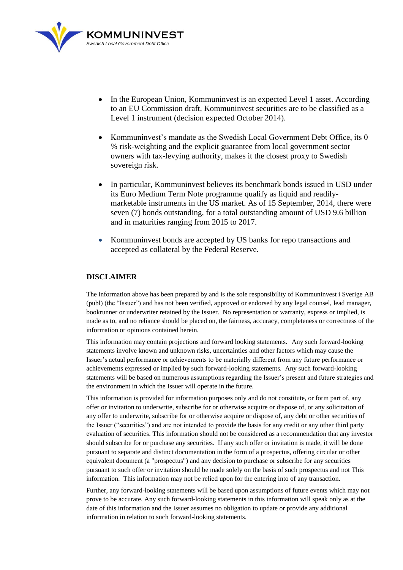

- In the European Union, Kommuninvest is an expected Level 1 asset. According to an EU Commission draft, Kommuninvest securities are to be classified as a Level 1 instrument (decision expected October 2014).
- Kommuninvest's mandate as the Swedish Local Government Debt Office, its 0 % risk-weighting and the explicit guarantee from local government sector owners with tax-levying authority, makes it the closest proxy to Swedish sovereign risk.
- In particular, Kommuninvest believes its benchmark bonds issued in USD under its Euro Medium Term Note programme qualify as liquid and readilymarketable instruments in the US market. As of 15 September, 2014, there were seven (7) bonds outstanding, for a total outstanding amount of USD 9.6 billion and in maturities ranging from 2015 to 2017.
- Kommuninvest bonds are accepted by US banks for repo transactions and accepted as collateral by the Federal Reserve.

#### **DISCLAIMER**

The information above has been prepared by and is the sole responsibility of Kommuninvest i Sverige AB (publ) (the "Issuer") and has not been verified, approved or endorsed by any legal counsel, lead manager, bookrunner or underwriter retained by the Issuer. No representation or warranty, express or implied, is made as to, and no reliance should be placed on, the fairness, accuracy, completeness or correctness of the information or opinions contained herein.

This information may contain projections and forward looking statements.Any such forward-looking statements involve known and unknown risks, uncertainties and other factors which may cause the Issuer's actual performance or achievements to be materially different from any future performance or achievements expressed or implied by such forward-looking statements. Any such forward-looking statements will be based on numerous assumptions regarding the Issuer's present and future strategies and the environment in which the Issuer will operate in the future.

This information is provided for information purposes only and do not constitute, or form part of, any offer or invitation to underwrite, subscribe for or otherwise acquire or dispose of, or any solicitation of any offer to underwrite, subscribe for or otherwise acquire or dispose of, any debt or other securities of the Issuer ("securities") and are not intended to provide the basis for any credit or any other third party evaluation of securities. This information should not be considered as a recommendation that any investor should subscribe for or purchase any securities. If any such offer or invitation is made, it will be done pursuant to separate and distinct documentation in the form of a prospectus, offering circular or other equivalent document (a "prospectus") and any decision to purchase or subscribe for any securities pursuant to such offer or invitation should be made solely on the basis of such prospectus and not This information. This information may not be relied upon for the entering into of any transaction.

Further, any forward-looking statements will be based upon assumptions of future events which may not prove to be accurate. Any such forward-looking statements in this information will speak only as at the date of this information and the Issuer assumes no obligation to update or provide any additional information in relation to such forward-looking statements.